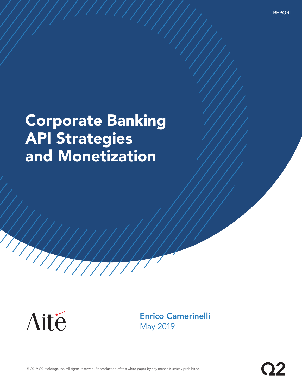REPORT

# Corporate Banking API Strategies and Monetization



Enrico Camerinelli May 2019

© 2019 Q2 Holdings Inc. All rights reserved. Reproduction of this white paper by any means is strictly prohibited.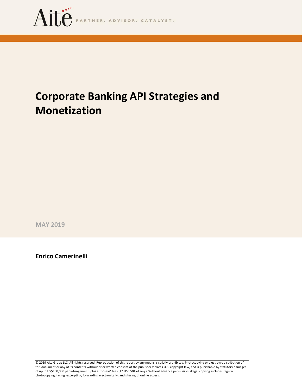

# **Corporate Banking API Strategies and Monetization**

**MAY 2019**

**Enrico Camerinelli**

© 2019 Aite Group LLC. All rights reserved. Reproduction of this report by any means is strictly prohibited. Photocopying or electronic distribution of this document or any of its contents without prior written consent of the publisher violates U.S. copyright law, and is punishable by statutory damages of up to US\$150,000 per infringement, plus attorneys' fees (17 USC 504 et seq.). Without advance permission, illegal copying includes regular photocopying, faxing, excerpting, forwarding electronically, and sharing of online access.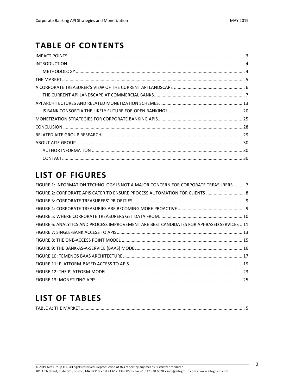### **TABLE OF CONTENTS**

## **LIST OF FIGURES**

| FIGURE 1: INFORMATION TECHNOLOGY IS NOT A MAJOR CONCERN FOR CORPORATE TREASURERS  7        |  |
|--------------------------------------------------------------------------------------------|--|
|                                                                                            |  |
|                                                                                            |  |
|                                                                                            |  |
|                                                                                            |  |
| FIGURE 6: ANALYTICS AND PROCESS IMPROVEMENT ARE BEST CANDIDATES FOR API-BASED SERVICES  11 |  |
|                                                                                            |  |
|                                                                                            |  |
|                                                                                            |  |
|                                                                                            |  |
|                                                                                            |  |
|                                                                                            |  |
|                                                                                            |  |

### **LIST OF TABLES**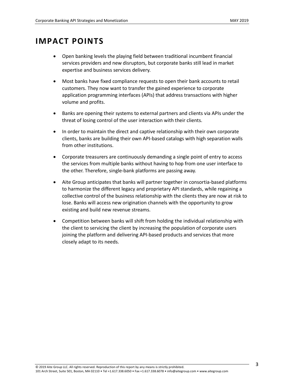### <span id="page-3-0"></span>**IMPACT POINTS**

- Open banking levels the playing field between traditional incumbent financial services providers and new disruptors, but corporate banks still lead in market expertise and business services delivery.
- Most banks have fixed compliance requests to open their bank accounts to retail customers. They now want to transfer the gained experience to corporate application programming interfaces (APIs) that address transactions with higher volume and profits.
- Banks are opening their systems to external partners and clients via APIs under the threat of losing control of the user interaction with their clients.
- In order to maintain the direct and captive relationship with their own corporate clients, banks are building their own API-based catalogs with high separation walls from other institutions.
- Corporate treasurers are continuously demanding a single point of entry to access the services from multiple banks without having to hop from one user interface to the other. Therefore, single-bank platforms are passing away.
- Aite Group anticipates that banks will partner together in consortia-based platforms to harmonize the different legacy and proprietary API standards, while regaining a collective control of the business relationship with the clients they are now at risk to lose. Banks will access new origination channels with the opportunity to grow existing and build new revenue streams.
- Competition between banks will shift from holding the individual relationship with the client to servicing the client by increasing the population of corporate users joining the platform and delivering API-based products and services that more closely adapt to its needs.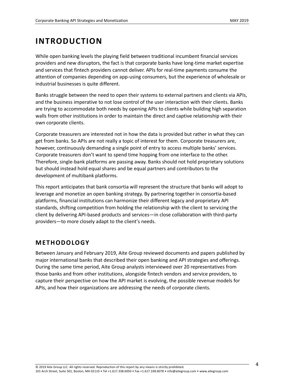### <span id="page-4-0"></span>**INTRODUCTION**

While open banking levels the playing field between traditional incumbent financial services providers and new disruptors, the fact is that corporate banks have long-time market expertise and services that fintech providers cannot deliver. APIs for real-time payments consume the attention of companies depending on app-using consumers, but the experience of wholesale or industrial businesses is quite different.

Banks struggle between the need to open their systems to external partners and clients via APIs, and the business imperative to not lose control of the user interaction with their clients. Banks are trying to accommodate both needs by opening APIs to clients while building high separation walls from other institutions in order to maintain the direct and captive relationship with their own corporate clients.

Corporate treasurers are interested not in how the data is provided but rather in what they can get from banks. So APIs are not really a topic of interest for them. Corporate treasurers are, however, continuously demanding a single point of entry to access multiple banks' services. Corporate treasurers don't want to spend time hopping from one interface to the other. Therefore, single-bank platforms are passing away. Banks should not hold proprietary solutions but should instead hold equal shares and be equal partners and contributors to the development of multibank platforms.

This report anticipates that bank consortia will represent the structure that banks will adopt to leverage and monetize an open banking strategy. By partnering together in consortia-based platforms, financial institutions can harmonize their different legacy and proprietary API standards, shifting competition from holding the relationship with the client to servicing the client by delivering API-based products and services—in close collaboration with third-party providers—to more closely adapt to the client's needs.

### <span id="page-4-1"></span>**METHODOLOGY**

Between January and February 2019, Aite Group reviewed documents and papers published by major international banks that described their open banking and API strategies and offerings. During the same time period, Aite Group analysts interviewed over 20 representatives from those banks and from other institutions, alongside fintech vendors and service providers, to capture their perspective on how the API market is evolving, the possible revenue models for APIs, and how their organizations are addressing the needs of corporate clients.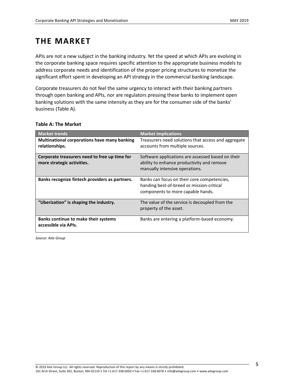### <span id="page-5-0"></span>**THE MARKET**

APIs are not a new subject in the banking industry. Yet the speed at which APIs are evolving in the corporate banking space requires specific attention to the appropriate business models to address corporate needs and identification of the proper pricing structures to monetize the significant effort spent in developing an API strategy in the commercial banking landscape.

Corporate treasurers do not feel the same urgency to interact with their banking partners through open banking and APIs, nor are regulators pressing these banks to implement open banking solutions with the same intensity as they are for the consumer side of the banks' business (Table A).

| <b>Market trends</b>                                                        | <b>Market implications</b>                                                                                                        |
|-----------------------------------------------------------------------------|-----------------------------------------------------------------------------------------------------------------------------------|
| <b>Multinational corporations have many banking</b><br>relationships.       | Treasurers need solutions that access and aggregate<br>accounts from multiple sources.                                            |
| Corporate treasurers need to free up time for<br>more strategic activities. | Software applications are assessed based on their<br>ability to enhance productivity and remove<br>manually intensive operations. |
| Banks recognize fintech providers as partners.                              | Banks can focus on their core competencies,<br>handing best-of-breed or mission-critical<br>components to more capable hands.     |
| "Uberization" is shaping the industry.                                      | The value of the service is decoupled from the<br>property of the asset.                                                          |
| Banks continue to make their systems<br>accessible via APIs.                | Banks are entering a platform-based economy.                                                                                      |

### <span id="page-5-1"></span>**Table A: The Market**

*Source: Aite Group*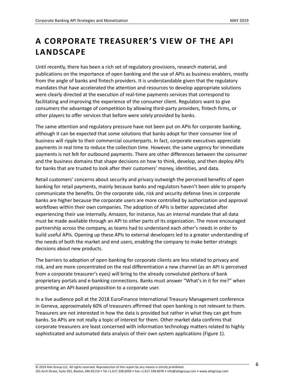# <span id="page-6-0"></span>**A CORPORATE TREASURER'S VIEW OF THE API LANDSCAPE**

Until recently, there has been a rich set of regulatory provisions, research material, and publications on the importance of open banking and the use of APIs as business enablers, mostly from the angle of banks and fintech providers. It is understandable given that the regulatory mandates that have accelerated the attention and resources to develop appropriate solutions were clearly directed at the execution of real-time payments services that correspond to facilitating and improving the experience of the consumer client. Regulators want to give consumers the advantage of competition by allowing third-party providers, fintech firms, or other players to offer services that before were solely provided by banks.

The same attention and regulatory pressure have not been put on APIs for corporate banking, although it can be expected that some solutions that banks adopt for their consumer line of business will ripple to their commercial counterparts. In fact, corporate executives appreciate payments in real time to reduce the collection time. However, the same urgency for immediate payments is not felt for outbound payments. There are other differences between the consumer and the business domains that shape decisions on how to think, develop, and then deploy APIs for banks that are trusted to look after their customers' money, identities, and data.

Retail customers' concerns about security and privacy outweigh the perceived benefits of open banking for retail payments, mainly because banks and regulators haven't been able to properly communicate the benefits. On the corporate side, risk and security defense lines in corporate banks are higher because the corporate users are more controlled by authorization and approval workflows within their own companies. The adoption of APIs is better appreciated after experiencing their use internally. Amazon, for instance, has an internal mandate that all data must be made available through an API to other parts of its organization. The move encouraged partnership across the company, as teams had to understand each other's needs in order to build useful APIs. Opening up these APIs to external developers led to a greater understanding of the needs of both the market and end users, enabling the company to make better strategic decisions about new products.

The barriers to adoption of open banking for corporate clients are less related to privacy and risk, and are more concentrated on the real differentiation a new channel (as an API is perceived from a corporate treasurer's eyes) will bring to the already convoluted plethora of bank proprietary portals and e-banking connections. Banks must answer "What's in it for me?" when presenting an API-based proposition to a corporate user.

In a live audience poll at the 2018 EuroFinance International Treasury Management conference in Geneva, approximately 60% of treasurers affirmed that open banking is not relevant to them. Treasurers are not interested in how the data is provided but rather in what they can get from banks. So APIs are not really a topic of interest for them. Other market data confirms that corporate treasurers are least concerned with information technology matters related to highly sophisticated and automated data analysis of their own system applications (Figure 1).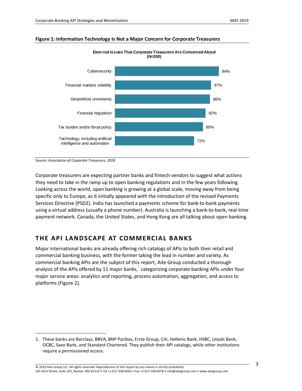<span id="page-7-1"></span>



#### **External Issues That Corporate Treasurers Are Concerned About (N=200)**

*Source: Association of Corporate Treasurers, 2018*

 $\overline{a}$ 

Corporate treasurers are expecting partner banks and fintech vendors to suggest what actions they need to take in the ramp up to open banking regulations and in the few years following. Looking across the world, open banking is growing at a global scale, moving away from being specific only to Europe, as it initially appeared with the introduction of the revised Payments Services Directive (PSD2). India has launched a payments scheme for bank-to-bank payments using a virtual address (usually a phone number). Australia is launching a bank-to-bank, real-time payment network. Canada, the United States, and Hong Kong are all talking about open banking.

### <span id="page-7-0"></span>**THE API LAND SCAPE AT COMMERCIAL BANKS**

Major international banks are already offering rich catalogs of APIs to both their retail and commercial banking business, with the former taking the lead in number and variety. As commercial banking APIs are the subject of this report, Aite Group conducted a thorough analysis of the APIs offered by 11 major banks, $^1$  categorizing corporate banking APIs under four major service areas: analytics and reporting, process automation, aggregation, and access to platforms (Figure 2).

<sup>1.</sup> These banks are Barclays, BBVA, BNP Paribas, Erste Group, Citi, Hellenic Bank, HSBC, Lloyds Bank, OCBC, Saxo Bank, and Standard Chartered. They publish their API catalogs, while other institutions require a permissioned access.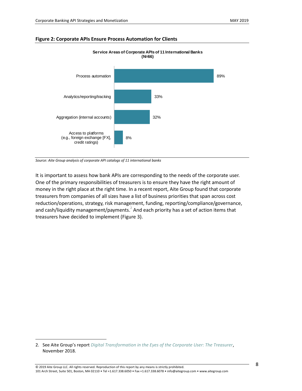

#### <span id="page-8-0"></span>**Figure 2: Corporate APIs Ensure Process Automation for Clients**

*Source: Aite Group analysis of corporate API catalogs of 11 international banks*

 $\overline{a}$ 

It is important to assess how bank APIs are corresponding to the needs of the corporate user. One of the primary responsibilities of treasurers is to ensure they have the right amount of money in the right place at the right time. In a recent report, Aite Group found that corporate treasurers from companies of all sizes have a list of business priorities that span across cost reduction/operations, strategy, risk management, funding, reporting/compliance/governance, and cash/liquidity management/payments. $^2$  And each priority has a set of action items that treasurers have decided to implement (Figure 3).

<sup>2.</sup> See Aite Group's report *[Digital Transformation in the Eyes of the Corporate User: The Treasurer](https://aitegroup.com/report/digital-transformation-eyes-corporate-user-treasurer)*, November 2018.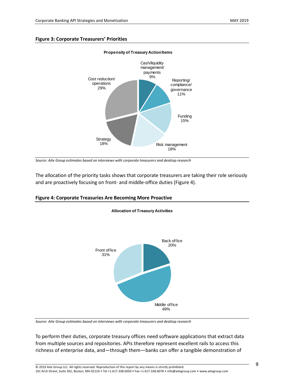#### <span id="page-9-0"></span>**Figure 3: Corporate Treasurers' Priorities**



### **Propensity of Treasury Action Items**

The allocation of the priority tasks shows that corporate treasurers are taking their role seriously and are proactively focusing on front- and middle-office duties (Figure 4).

**Allocation of Treasury Activities**



#### <span id="page-9-1"></span>**Figure 4: Corporate Treasuries Are Becoming More Proactive**

*Source: Aite Group estimates based on interviews with corporate treasurers and desktop research*

To perform their duties, corporate treasury offices need software applications that extract data from multiple sources and repositories. APIs therefore represent excellent rails to access this richness of enterprise data, and—through them—banks can offer a tangible demonstration of

*Source: Aite Group estimates based on interviews with corporate treasurers and desktop research*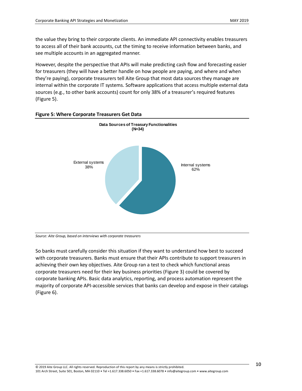the value they bring to their corporate clients. An immediate API connectivity enables treasurers to access all of their bank accounts, cut the timing to receive information between banks, and see multiple accounts in an aggregated manner.

However, despite the perspective that APIs will make predicting cash flow and forecasting easier for treasurers (they will have a better handle on how people are paying, and where and when they're paying), corporate treasurers tell Aite Group that most data sources they manage are internal within the corporate IT systems. Software applications that access multiple external data sources (e.g., to other bank accounts) count for only 38% of a treasurer's required features (Figure 5).



### <span id="page-10-0"></span>**Figure 5: Where Corporate Treasurers Get Data**

*Source: Aite Group, based on interviews with corporate treasurers*

So banks must carefully consider this situation if they want to understand how best to succeed with corporate treasurers. Banks must ensure that their APIs contribute to support treasurers in achieving their own key objectives. Aite Group ran a test to check which functional areas corporate treasurers need for their key business priorities (Figure 3) could be covered by corporate banking APIs. Basic data analytics, reporting, and process automation represent the majority of corporate API-accessible services that banks can develop and expose in their catalogs (Figure 6).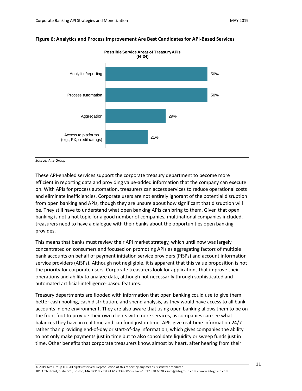

#### <span id="page-11-0"></span>**Figure 6: Analytics and Process Improvement Are Best Candidates for API-Based Services**

*Source: Aite Group*

These API-enabled services support the corporate treasury department to become more efficient in reporting data and providing value-added information that the company can execute on. With APIs for process automation, treasurers can access services to reduce operational costs and eliminate inefficiencies. Corporate users are not entirely ignorant of the potential disruption from open banking and APIs, though they are unsure about how significant that disruption will be. They still have to understand what open banking APIs can bring to them. Given that open banking is not a hot topic for a good number of companies, multinational companies included, treasurers need to have a dialogue with their banks about the opportunities open banking provides.

This means that banks must review their API market strategy, which until now was largely concentrated on consumers and focused on promoting APIs as aggregating factors of multiple bank accounts on behalf of payment initiation service providers (PISPs) and account information service providers (AISPs). Although not negligible, it is apparent that this value proposition is not the priority for corporate users. Corporate treasurers look for applications that improve their operations and ability to analyze data, although not necessarily through sophisticated and automated artificial-intelligence-based features.

Treasury departments are flooded with information that open banking could use to give them better cash pooling, cash distribution, and spend analysis, as they would have access to all bank accounts in one environment. They are also aware that using open banking allows them to be on the front foot to provide their own clients with more services, as companies can see what balances they have in real time and can fund just in time. APIs give real-time information 24/7 rather than providing end-of-day or start-of-day information, which gives companies the ability to not only make payments just in time but to also consolidate liquidity or sweep funds just in time. Other benefits that corporate treasurers know, almost by heart, after hearing from their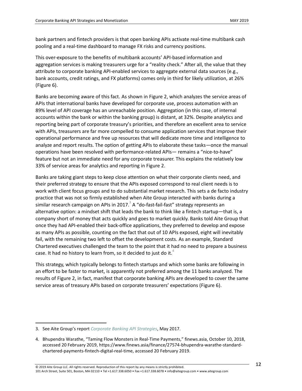bank partners and fintech providers is that open banking APIs activate real-time multibank cash pooling and a real-time dashboard to manage FX risks and currency positions.

This over-exposure to the benefits of multibank accounts' API-based information and aggregation services is making treasurers urge for a "reality check." After all, the value that they attribute to corporate banking API-enabled services to aggregate external data sources (e.g., bank accounts, credit ratings, and FX platforms) comes only in third for likely utilization, at 26% (Figure 6).

Banks are becoming aware of this fact. As shown in Figure 2, which analyzes the service areas of APIs that international banks have developed for corporate use, process automation with an 89% level of API coverage has an unreachable position. Aggregation (in this case, of internal accounts within the bank or within the banking group) is distant, at 32%. Despite analytics and reporting being part of corporate treasury's priorities, and therefore an excellent area to service with APIs, treasurers are far more compelled to consume application services that improve their operational performance and free up resources that will dedicate more time and intelligence to analyze and report results. The option of getting APIs to elaborate these tasks—once the manual operations have been resolved with performance-related APIs— remains a "nice-to-have" feature but not an immediate need for any corporate treasurer. This explains the relatively low 33% of service areas for analytics and reporting in Figure 2.

Banks are taking giant steps to keep close attention on what their corporate clients need, and their preferred strategy to ensure that the APIs exposed correspond to real client needs is to work with client focus groups and to do substantial market research. This sets a de facto industry practice that was not so firmly established when Aite Group interacted with banks during a similar research campaign on APIs in 2017. $^3$  A "do-fast-fail-fast" strategy represents an alternative option: a mindset shift that leads the bank to think like a fintech startup—that is, a company short of money that acts quickly and goes to market quickly. Banks told Aite Group that once they had API-enabled their back-office applications, they preferred to develop and expose as many APIs as possible, counting on the fact that out of 10 APIs exposed, eight will inevitably fail, with the remaining two left to offset the development costs. As an example, Standard Chartered executives challenged the team to the point that it had no need to prepare a business case. It had no history to learn from, so it decided to just do it. $4$ 

This strategy, which typically belongs to fintech startups and which some banks are following in an effort to be faster to market, is apparently not preferred among the 11 banks analyzed. The results of Figure 2, in fact, manifest that corporate banking APIs are developed to cover the same service areas of treasury APIs based on corporate treasurers' expectations (Figure 6).

 $\overline{a}$ 

<sup>3.</sup> See Aite Group's report *[Corporate Banking API Strategies](https://aitegroup.com/report/corporate-banking-api-strategies)*, May 2017.

<sup>4.</sup> Bhupendra Warathe, "Taming Flow Monsters in Real-Time Payments," finews.asia, October 10, 2018, accessed 20 February 2019, https://www.finews.asia/finance/27574-bhupendra-warathe-standardchartered-payments-fintech-digital-real-time, accessed 20 February 2019.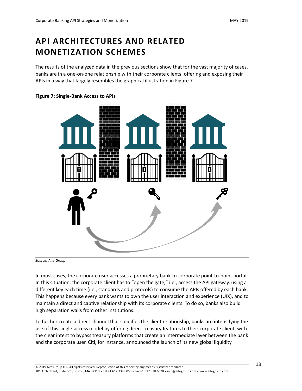# <span id="page-13-0"></span>**API ARCHITECTURES AND RELATED MONETIZATION SCHEMES**

The results of the analyzed data in the previous sections show that for the vast majority of cases, banks are in a one-on-one relationship with their corporate clients, offering and exposing their APIs in a way that largely resembles the graphical illustration in Figure 7.

### <span id="page-13-1"></span>**Figure 7: Single-Bank Access to APIs**



*Source: Aite Group*

In most cases, the corporate user accesses a proprietary bank-to-corporate point-to-point portal. In this situation, the corporate client has to "open the gate," i.e., access the API gateway, using a different key each time (i.e., standards and protocols) to consume the APIs offered by each bank. This happens because every bank wants to own the user interaction and experience (UIX), and to maintain a direct and captive relationship with its corporate clients. To do so, banks also build high separation walls from other institutions.

To further create a direct channel that solidifies the client relationship, banks are intensifying the use of this single-access model by offering direct treasury features to their corporate client, with the clear intent to bypass treasury platforms that create an intermediate layer between the bank and the corporate user. Citi, for instance, announced the launch of its new global liquidity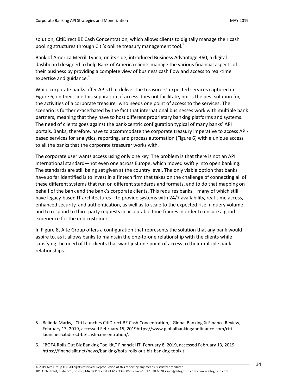solution, CitiDirect BE Cash Concentration, which allows clients to digitally manage their cash pooling structures through Citi's online treasury management tool.<sup>5</sup>

Bank of America Merrill Lynch, on its side, introduced Business Advantage 360, a digital dashboard designed to help Bank of America clients manage the various financial aspects of their business by providing a complete view of business cash flow and access to real-time expertise and guidance.<sup>6</sup>

While corporate banks offer APIs that deliver the treasurers' expected services captured in Figure 6, on their side this separation of access does not facilitate, nor is the best solution for, the activities of a corporate treasurer who needs one point of access to the services. The scenario is further exacerbated by the fact that international businesses work with multiple bank partners, meaning that they have to host different proprietary banking platforms and systems. The need of clients goes against the bank-centric configuration typical of many banks' API portals. Banks, therefore, have to accommodate the corporate treasury imperative to access APIbased services for analytics, reporting, and process automation (Figure 6) with a unique access to all the banks that the corporate treasurer works with.

The corporate user wants access using only one key. The problem is that there is not an API international standard—not even one across Europe, which moved swiftly into open banking. The standards are still being set given at the country level. The only viable option that banks have so far identified is to invest in a fintech firm that takes on the challenge of connecting all of these different systems that run on different standards and formats, and to do that mapping on behalf of the bank and the bank's corporate clients. This requires banks—many of which still have legacy-based IT architectures—to provide systems with 24/7 availability, real-time access, enhanced security, and authentication, as well as to scale to the expected rise in query volume and to respond to third-party requests in acceptable time frames in order to ensure a good experience for the end customer.

In Figure 8, Aite Group offers a configuration that represents the solution that any bank would aspire to, as it allows banks to maintain the one-to-one relationship with the clients while satisfying the need of the clients that want just one point of access to their multiple bank relationships.

 $\overline{a}$ 

<sup>5.</sup> Belinda Marks, "Citi Launches CitiDirect BE Cash Concentration," Global Banking & Finance Review, February 13, 2019, accessed February 15, 2019https://www.globalbankingandfinance.com/citilaunches-citidirect-be-cash-concentration/.

<sup>6.</sup> "BOFA Rolls Out Biz Banking Toolkit," Financial IT, February 8, 2019, accessed February 13, 2019, https://financialit.net/news/banking/bofa-rolls-out-biz-banking-toolkit.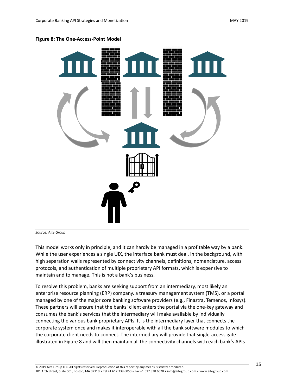#### <span id="page-15-0"></span>**Figure 8: The One-Access-Point Model**



*Source: Aite Group*

This model works only in principle, and it can hardly be managed in a profitable way by a bank. While the user experiences a single UIX, the interface bank must deal, in the background, with high separation walls represented by connectivity channels, definitions, nomenclature, access protocols, and authentication of multiple proprietary API formats, which is expensive to maintain and to manage. This is not a bank's business.

To resolve this problem, banks are seeking support from an intermediary, most likely an enterprise resource planning (ERP) company, a treasury management system (TMS), or a portal managed by one of the major core banking software providers (e.g., Finastra, Temenos, Infosys). These partners will ensure that the banks' client enters the portal via the one-key gateway and consumes the bank's services that the intermediary will make available by individually connecting the various bank proprietary APIs. It is the intermediary layer that connects the corporate system once and makes it interoperable with all the bank software modules to which the corporate client needs to connect. The intermediary will provide that single-access gate illustrated in Figure 8 and will then maintain all the connectivity channels with each bank's APIs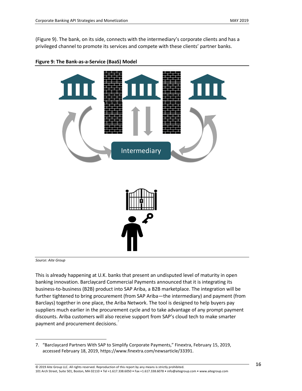(Figure 9). The bank, on its side, connects with the intermediary's corporate clients and has a privileged channel to promote its services and compete with these clients' partner banks.



<span id="page-16-0"></span>

*Source: Aite Group*

 $\overline{a}$ 

This is already happening at U.K. banks that present an undisputed level of maturity in open banking innovation. Barclaycard Commercial Payments announced that it is integrating its business-to-business (B2B) product into SAP Ariba, a B2B marketplace. The integration will be further tightened to bring procurement (from SAP Ariba—the intermediary) and payment (from Barclays) together in one place, the Ariba Network. The tool is designed to help buyers pay suppliers much earlier in the procurement cycle and to take advantage of any prompt payment discounts. Ariba customers will also receive support from SAP's cloud tech to make smarter payment and procurement decisions.

<sup>7.</sup> "Barclaycard Partners With SAP to Simplify Corporate Payments," Finextra, February 15, 2019, accessed February 18, 2019, https://www.finextra.com/newsarticle/33391.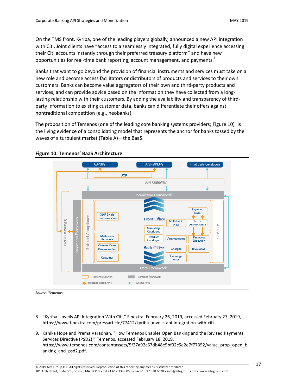On the TMS front, Kyriba, one of the leading players globally, announced a new API integration with Citi. Joint clients have "access to a seamlessly integrated, fully digital experience accessing their Citi accounts instantly through their preferred treasury platform" and have new opportunities for real-time bank reporting, account management, and payments.

Banks that want to go beyond the provision of financial instruments and services must take on a new role and become access facilitators or distributors of products and services to their own customers. Banks can become value aggregators of their own and third-party products and services, and can provide advice based on the information they have collected from a longlasting relationship with their customers. By adding the availability and transparency of thirdparty information to existing customer data, banks can differentiate their offers against nontraditional competition (e.g., neobanks).

The proposition of Temenos (one of the leading core banking systems providers; Figure 10) $^{\circ}$  is the living evidence of a consolidating model that represents the anchor for banks tossed by the waves of a turbulent market (Table A)—the BaaS.



### <span id="page-17-0"></span>**Figure 10: Temenos' BaaS Architecture**

*Source: Temenos*

 $\overline{a}$ 

9. Kanika Hope and Prema Varadhan, "How Temenos Enables Open Banking and the Revised Payments Services Directive (PSD2)," Temenos, accessed February 18, 2019, https://www.temenos.com/contentassets/5f27a92c67db48e5bf02c5e2e7f77352/value\_prop\_open\_b anking\_and\_psd2.pdf.

<sup>8.</sup> "Kyriba Unveils API Integration With Citi," Finextra, February 26, 2019, accessed February 27, 2019, https://www.finextra.com/pressarticle/77412/kyriba-unveils-api-integration-with-citi.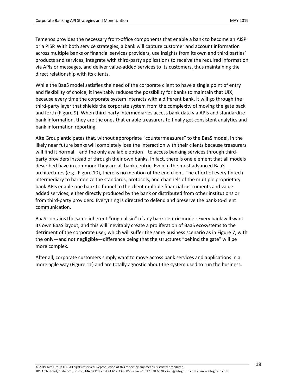Temenos provides the necessary front-office components that enable a bank to become an AISP or a PISP. With both service strategies, a bank will capture customer and account information across multiple banks or financial services providers, use insights from its own and third parties' products and services, integrate with third-party applications to receive the required information via APIs or messages, and deliver value-added services to its customers, thus maintaining the direct relationship with its clients.

While the BaaS model satisfies the need of the corporate client to have a single point of entry and flexibility of choice, it inevitably reduces the possibility for banks to maintain that UIX, because every time the corporate system interacts with a different bank, it will go through the third-party layer that shields the corporate system from the complexity of moving the gate back and forth (Figure 9). When third-party intermediaries access bank data via APIs and standardize bank information, they are the ones that enable treasurers to finally get consistent analytics and bank information reporting.

Aite Group anticipates that, without appropriate "countermeasures" to the BaaS model, in the likely near future banks will completely lose the interaction with their clients because treasurers will find it normal—and the only available option—to access banking services through thirdparty providers instead of through their own banks. In fact, there is one element that all models described have in common: They are all bank-centric. Even in the most advanced BaaS architectures (e.g., Figure 10), there is no mention of the end client. The effort of every fintech intermediary to harmonize the standards, protocols, and channels of the multiple proprietary bank APIs enable one bank to funnel to the client multiple financial instruments and valueadded services, either directly produced by the bank or distributed from other institutions or from third-party providers. Everything is directed to defend and preserve the bank-to-client communication.

BaaS contains the same inherent "original sin" of any bank-centric model: Every bank will want its own BaaS layout, and this will inevitably create a proliferation of BaaS ecosystems to the detriment of the corporate user, which will suffer the same business scenario as in Figure 7, with the only—and not negligible—difference being that the structures "behind the gate" will be more complex.

After all, corporate customers simply want to move across bank services and applications in a more agile way (Figure 11) and are totally agnostic about the system used to run the business.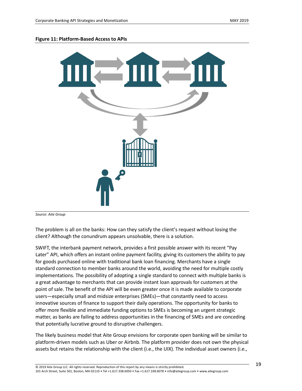#### <span id="page-19-0"></span>**Figure 11: Platform-Based Access to APIs**



*Source: Aite Group*

The problem is all on the banks: How can they satisfy the client's request without losing the client? Although the conundrum appears unsolvable, there is a solution.

SWIFT, the interbank payment network, provides a first possible answer with its recent "Pay Later" API, which offers an instant online payment facility, giving its customers the ability to pay for goods purchased online with traditional bank loan financing. Merchants have a single standard connection to member banks around the world, avoiding the need for multiple costly implementations. The possibility of adopting a single standard to connect with multiple banks is a great advantage to merchants that can provide instant loan approvals for customers at the point of sale. The benefit of the API will be even greater once it is made available to corporate users—especially small and midsize enterprises (SMEs)—that constantly need to access innovative sources of finance to support their daily operations. The opportunity for banks to offer more flexible and immediate funding options to SMEs is becoming an urgent strategic matter, as banks are failing to address opportunities in the financing of SMEs and are conceding that potentially lucrative ground to disruptive challengers.

The likely business model that Aite Group envisions for corporate open banking will be similar to platform-driven models such as Uber or Airbnb. The platform provider does not own the physical assets but retains the relationship with the client (i.e., the UIX). The individual asset owners (i.e.,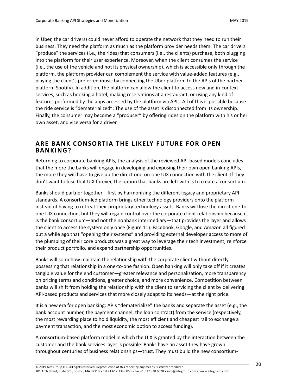in Uber, the car drivers) could never afford to operate the network that they need to run their business. They need the platform as much as the platform provider needs them: The car drivers "produce" the services (i.e., the rides) that consumers (i.e., the clients) purchase, both plugging into the platform for their user experience. Moreover, when the client consumes the service (i.e., the use of the vehicle and not its physical ownership), which is accessible only through the platform, the platform provider can complement the service with value-added features (e.g., playing the client's preferred music by connecting the Uber platform to the APIs of the partner platform Spotify). In addition, the platform can allow the client to access new and in-context services, such as booking a hotel, making reservations at a restaurant, or using any kind of features performed by the apps accessed by the platform via APIs. All of this is possible because the ride service is "dematerialized": The use of the asset is disconnected from its ownership. Finally, the consumer may become a "producer" by offering rides on the platform with his or her own asset, and vice versa for a driver.

### <span id="page-20-0"></span>**ARE BANK CONSORTIA THE LIKELY F UTURE FOR OPEN BANKING?**

Returning to corporate banking APIs, the analysis of the reviewed API-based models concludes that the more the banks will engage in developing and exposing their own open banking APIs, the more they will have to give up the direct one-on-one UIX connection with the client. If they don't want to lose that UIX forever, the option that banks are left with is to create a consortium.

Banks should partner together—first by harmonizing the different legacy and proprietary API standards. A consortium-led platform brings other technology providers onto the platform instead of having to retreat their proprietary technology assets. Banks will lose the direct one-toone UIX connection, but they will regain control over the corporate client relationship because it is the bank consortium—and not the nonbank intermediary—that provides the layer and allows the client to access the system only once (Figure 11). Facebook, Google, and Amazon all figured out a while ago that "opening their systems" and providing external developer access to more of the plumbing of their core products was a great way to leverage their tech investment, reinforce their product portfolio, and expand partnership opportunities.

Banks will somehow maintain the relationship with the corporate client without directly possessing that relationship in a one-to-one fashion. Open banking will only take off if it creates tangible value for the end customer—greater relevance and personalization, more transparency on pricing terms and conditions, greater choice, and more convenience. Competition between banks will shift from holding the relationship with the client to servicing the client by delivering API-based products and services that more closely adapt to its needs—at the right price.

It is a new era for open banking: APIs "dematerialize" the banks and separate the asset (e.g., the bank account number, the payment channel, the loan contract) from the service (respectively, the most rewarding place to hold liquidity, the most efficient and cheapest rail to exchange a payment transaction, and the most economic option to access funding).

A consortium-based platform model in which the UIX is granted by the interaction between the customer and the bank services layer is possible. Banks have an asset they have grown throughout centuries of business relationships—trust. They must build the new consortium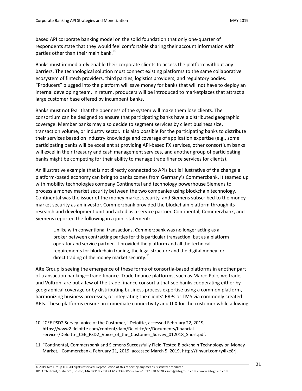based API corporate banking model on the solid foundation that only one-quarter of respondents state that they would feel comfortable sharing their account information with parties other than their main bank. $^{10}$ 

Banks must immediately enable their corporate clients to access the platform without any barriers. The technological solution must connect existing platforms to the same collaborative ecosystem of fintech providers, third parties, logistics providers, and regulatory bodies. "Producers" plugged into the platform will save money for banks that will not have to deploy an internal developing team. In return, producers will be introduced to marketplaces that attract a large customer base offered by incumbent banks.

Banks must not fear that the openness of the system will make them lose clients. The consortium can be designed to ensure that participating banks have a distributed geographic coverage. Member banks may also decide to segment services by client business size, transaction volume, or industry sector. It is also possible for the participating banks to distribute their services based on industry knowledge and coverage of application expertise (e.g., some participating banks will be excellent at providing API-based FX services, other consortium banks will excel in their treasury and cash management services, and another group of participating banks might be competing for their ability to manage trade finance services for clients).

An illustrative example that is not directly connected to APIs but is illustrative of the change a platform-based economy can bring to banks comes from Germany's Commerzbank. It teamed up with mobility technologies company Continental and technology powerhouse Siemens to process a money market security between the two companies using blockchain technology. Continental was the issuer of the money market security, and Siemens subscribed to the money market security as an investor. Commerzbank provided the blockchain platform through its research and development unit and acted as a service partner. Continental, Commerzbank, and Siemens reported the following in a joint statement:

Unlike with conventional transactions, Commerzbank was no longer acting as a broker between contracting parties for this particular transaction, but as a platform operator and service partner. It provided the platform and all the technical requirements for blockchain trading, the legal structure and the digital money for direct trading of the money market security. $11$ 

Aite Group is seeing the emergence of these forms of consortia-based platforms in another part of transaction banking—trade finance. Trade finance platforms, such as Marco Polo, we.trade, and Voltron, are but a few of the trade finance consortia that see banks cooperating either by geographical coverage or by distributing business process expertise using a common platform, harmonizing business processes, or integrating the clients' ERPs or TMS via commonly created APIs. These platforms ensure an immediate connectivity and UIX for the customer while allowing

 $\overline{a}$ 

<sup>10.</sup> "CEE PSD2 Survey: Voice of the Customer," Deloitte, accessed February 22, 2019, https://www2.deloitte.com/content/dam/Deloitte/cz/Documents/financialservices/Deloitte\_CEE\_PSD2\_Voice\_of\_the\_Customer\_Survey\_012018\_Short.pdf.

<sup>11.</sup> "Continental, Commerzbank and Siemens Successfully Field-Tested Blockchain Technology on Money Market," Commerzbank, February 21, 2019, accessed March 5, 2019, http://tinyurl.com/y4lke8rj.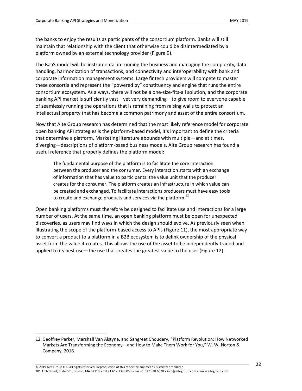the banks to enjoy the results as participants of the consortium platform. Banks will still maintain that relationship with the client that otherwise could be disintermediated by a platform owned by an external technology provider (Figure 9).

The BaaS model will be instrumental in running the business and managing the complexity, data handling, harmonization of transactions, and connectivity and interoperability with bank and corporate information management systems. Large fintech providers will compete to master these consortia and represent the "powered by" constituency and engine that runs the entire consortium ecosystem. As always, there will not be a one-size-fits-all solution, and the corporate banking API market is sufficiently vast—yet very demanding—to give room to everyone capable of seamlessly running the operations that is refraining from raising walls to protect an intellectual property that has become a common patrimony and asset of the entire consortium.

Now that Aite Group research has determined that the most likely reference model for corporate open banking API strategies is the platform-based model, it's important to define the criteria that determine a platform. Marketing literature abounds with multiple—and at times, diverging—descriptions of platform-based business models. Aite Group research has found a useful reference that properly defines the platform model:

The fundamental purpose of the platform is to facilitate the core interaction between the producer and the consumer. Every interaction starts with an exchange of information that has value to participants: the value unit that the producer creates for the consumer. The platform creates an infrastructure in which value can be created and exchanged. To facilitate interactions producers must have easy tools to create and exchange products and services via the platform.<sup>12</sup>

Open banking platforms must therefore be designed to facilitate use and interactions for a large number of users. At the same time, an open banking platform must be open for unexpected discoveries, as users may find ways in which the design should evolve. As previously seen when illustrating the scope of the platform-based access to APIs (Figure 11), the most appropriate way to convert a product to a platform in a B2B ecosystem is to delink ownership of the physical asset from the value it creates. This allows the use of the asset to be independently traded and applied to its best use—the use that creates the greatest value to the user (Figure 12).

 $\overline{a}$ 

<sup>12.</sup> Geoffrey Parker, Marshall Van Alstyne, and Sangreet Choudary, "Platform Revolution: How Networked Markets Are Transforming the Economy—and How to Make Them Work for You," W. W. Norton & Company, 2016.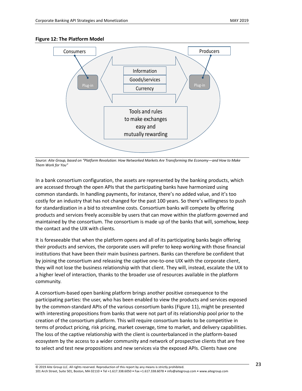

#### <span id="page-23-0"></span>**Figure 12: The Platform Model**

*Source: Aite Group, based on "Platform Revolution: How Networked Markets Are Transforming the Economy—and How to Make Them Work for You"*

In a bank consortium configuration, the assets are represented by the banking products, which are accessed through the open APIs that the participating banks have harmonized using common standards. In handling payments, for instance, there's no added value, and it's too costly for an industry that has not changed for the past 100 years. So there's willingness to push for standardization in a bid to streamline costs. Consortium banks will compete by offering products and services freely accessible by users that can move within the platform governed and maintained by the consortium. The consortium is made up of the banks that will, somehow, keep the contact and the UIX with clients.

It is foreseeable that when the platform opens and all of its participating banks begin offering their products and services, the corporate users will prefer to keep working with those financial institutions that have been their main business partners. Banks can therefore be confident that by joining the consortium and releasing the captive one-to-one UIX with the corporate client, they will not lose the business relationship with that client. They will, instead, escalate the UIX to a higher level of interaction, thanks to the broader use of resources available in the platform community.

A consortium-based open banking platform brings another positive consequence to the participating parties: the user, who has been enabled to view the products and services exposed by the common-standard APIs of the various consortium banks (Figure 11), might be presented with interesting propositions from banks that were not part of its relationship pool prior to the creation of the consortium platform. This will require consortium banks to be competitive in terms of product pricing, risk pricing, market coverage, time to market, and delivery capabilities. The loss of the captive relationship with the client is counterbalanced in the platform-based ecosystem by the access to a wider community and network of prospective clients that are free to select and test new propositions and new services via the exposed APIs. Clients have one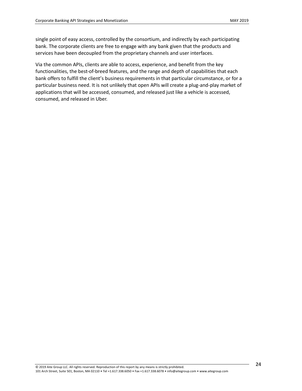single point of easy access, controlled by the consortium, and indirectly by each participating bank. The corporate clients are free to engage with any bank given that the products and services have been decoupled from the proprietary channels and user interfaces.

Via the common APIs, clients are able to access, experience, and benefit from the key functionalities, the best-of-breed features, and the range and depth of capabilities that each bank offers to fulfill the client's business requirements in that particular circumstance, or for a particular business need. It is not unlikely that open APIs will create a plug-and-play market of applications that will be accessed, consumed, and released just like a vehicle is accessed, consumed, and released in Uber.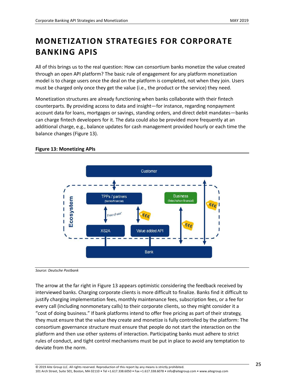# <span id="page-25-0"></span>**MONETIZATION STRATEGIES FOR CORPORATE BANKING APIS**

All of this brings us to the real question: How can consortium banks monetize the value created through an open API platform? The basic rule of engagement for any platform monetization model is to charge users once the deal on the platform is completed, not when they join. Users must be charged only once they get the value (i.e., the product or the service) they need.

Monetization structures are already functioning when banks collaborate with their fintech counterparts. By providing access to data and insight—for instance, regarding nonpayment account data for loans, mortgages or savings, standing orders, and direct debit mandates—banks can charge fintech developers for it. The data could also be provided more frequently at an additional charge, e.g., balance updates for cash management provided hourly or each time the balance changes (Figure 13).

### <span id="page-25-1"></span>**Figure 13: Monetizing APIs**



*Source: Deutsche Postbank*

The arrow at the far right in Figure 13 appears optimistic considering the feedback received by interviewed banks. Charging corporate clients is more difficult to finalize. Banks find it difficult to justify charging implementation fees, monthly maintenance fees, subscription fees, or a fee for every call (including nonmonetary calls) to their corporate clients, so they might consider it a "cost of doing business." If bank platforms intend to offer free pricing as part of their strategy, they must ensure that the value they create and monetize is fully controlled by the platform: The consortium governance structure must ensure that people do not start the interaction on the platform and then use other systems of interaction. Participating banks must adhere to strict rules of conduct, and tight control mechanisms must be put in place to avoid any temptation to deviate from the norm.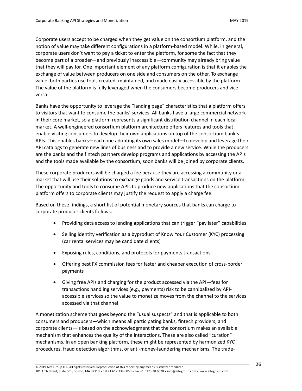Corporate users accept to be charged when they get value on the consortium platform, and the notion of value may take different configurations in a platform-based model. While, in general, corporate users don't want to pay a ticket to enter the platform, for some the fact that they become part of a broader—and previously inaccessible—community may already bring value that they will pay for. One important element of any platform configuration is that it enables the exchange of value between producers on one side and consumers on the other. To exchange value, both parties use tools created, maintained, and made easily accessible by the platform. The value of the platform is fully leveraged when the consumers become producers and vice versa.

Banks have the opportunity to leverage the "landing page" characteristics that a platform offers to visitors that want to consume the banks' services. All banks have a large commercial network in their core market, so a platform represents a significant distribution channel in each local market. A well-engineered consortium platform architecture offers features and tools that enable visiting consumers to develop their own applications on top of the consortium bank's APIs. This enables banks—each one adopting its own sales model—to develop and leverage their API catalogs to generate new lines of business and to provide a new service. While the producers are the banks and the fintech partners develop programs and applications by accessing the APIs and the tools made available by the consortium, soon banks will be joined by corporate clients.

These corporate producers will be charged a fee because they are accessing a community or a market that will use their solutions to exchange goods and service transactions on the platform. The opportunity and tools to consume APIs to produce new applications that the consortium platform offers to corporate clients may justify the request to apply a charge fee.

Based on these findings, a short list of potential monetary sources that banks can charge to corporate producer clients follows:

- Providing data access to lending applications that can trigger "pay later" capabilities
- Selling identity verification as a byproduct of Know Your Customer (KYC) processing (car rental services may be candidate clients)
- Exposing rules, conditions, and protocols for payments transactions
- Offering best FX commission fees for faster and cheaper execution of cross-border payments
- Giving free APIs and charging for the product accessed via the API—fees for transactions handling services (e.g., payments) risk to be cannibalized by APIaccessible services so the value to monetize moves from the channel to the services accessed via that channel

A monetization scheme that goes beyond the "usual suspects" and that is applicable to both consumers and producers—which means all participating banks, fintech providers, and corporate clients—is based on the acknowledgment that the consortium makes an available mechanism that enhances the quality of the interactions. These are also called "curation" mechanisms. In an open banking platform, these might be represented by harmonized KYC procedures, fraud detection algorithms, or anti-money-laundering mechanisms. The trade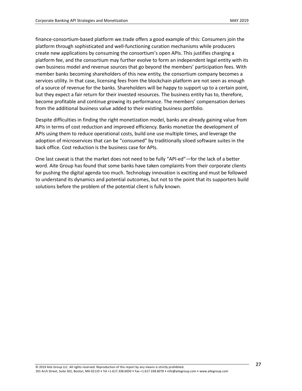finance-consortium-based platform we.trade offers a good example of this: Consumers join the platform through sophisticated and well-functioning curation mechanisms while producers create new applications by consuming the consortium's open APIs. This justifies charging a platform fee, and the consortium may further evolve to form an independent legal entity with its own business model and revenue sources that go beyond the members' participation fees. With member banks becoming shareholders of this new entity, the consortium company becomes a services utility. In that case, licensing fees from the blockchain platform are not seen as enough of a source of revenue for the banks. Shareholders will be happy to support up to a certain point, but they expect a fair return for their invested resources. The business entity has to, therefore, become profitable and continue growing its performance. The members' compensation derives from the additional business value added to their existing business portfolio.

Despite difficulties in finding the right monetization model, banks are already gaining value from APIs in terms of cost reduction and improved efficiency. Banks monetize the development of APIs using them to reduce operational costs, build one use multiple times, and leverage the adoption of microservices that can be "consumed" by traditionally siloed software suites in the back office. Cost reduction is the business case for APIs.

One last caveat is that the market does not need to be fully "API-ed"—for the lack of a better word. Aite Group has found that some banks have taken complaints from their corporate clients for pushing the digital agenda too much. Technology innovation is exciting and must be followed to understand its dynamics and potential outcomes, but not to the point that its supporters build solutions before the problem of the potential client is fully known.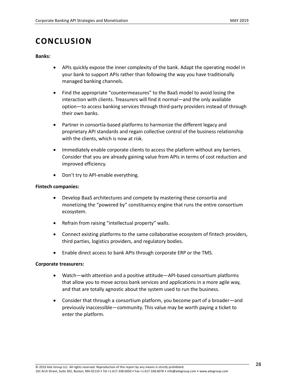### <span id="page-28-0"></span>**CONCLUSION**

#### **Banks:**

- APIs quickly expose the inner complexity of the bank. Adapt the operating model in your bank to support APIs rather than following the way you have traditionally managed banking channels.
- Find the appropriate "countermeasures" to the BaaS model to avoid losing the interaction with clients. Treasurers will find it normal—and the only available option—to access banking services through third-party providers instead of through their own banks.
- Partner in consortia-based platforms to harmonize the different legacy and proprietary API standards and regain collective control of the business relationship with the clients, which is now at risk.
- Immediately enable corporate clients to access the platform without any barriers. Consider that you are already gaining value from APIs in terms of cost reduction and improved efficiency.
- Don't try to API-enable everything.

#### **Fintech companies:**

- Develop BaaS architectures and compete by mastering these consortia and monetizing the "powered by" constituency engine that runs the entire consortium ecosystem.
- Refrain from raising "intellectual property" walls.
- Connect existing platforms to the same collaborative ecosystem of fintech providers, third parties, logistics providers, and regulatory bodies.
- Enable direct access to bank APIs through corporate ERP or the TMS.

#### **Corporate treasurers:**

- Watch—with attention and a positive attitude—API-based consortium platforms that allow you to move across bank services and applications in a more agile way, and that are totally agnostic about the system used to run the business.
- Consider that through a consortium platform, you become part of a broader—and previously inaccessible—community. This value may be worth paying a ticket to enter the platform.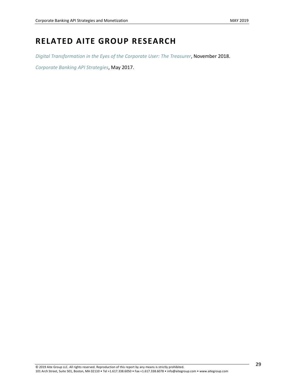# <span id="page-29-0"></span>**RELATED AITE GROUP RESEARCH**

*[Digital Transformation in the Eyes of the Corporate User: The Treasurer](https://aitegroup.com/report/digital-transformation-eyes-corporate-user-treasurer)*, November 2018.

*[Corporate Banking API Strategies](https://aitegroup.com/report/corporate-banking-api-strategies)*, May 2017.